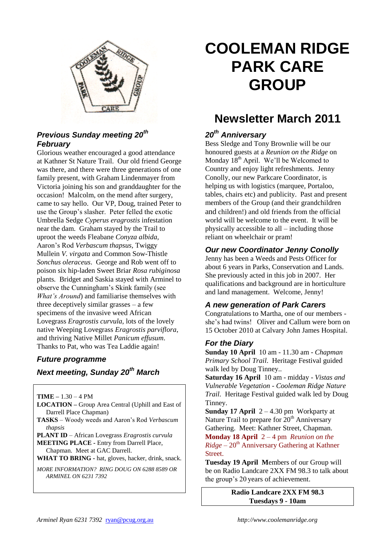

# *Previous Sunday meeting 20th February*

Glorious weather encouraged a good attendance at Kathner St Nature Trail. Our old friend George was there, and there were three generations of one family present, with Graham Lindenmayer from Victoria joining his son and granddaughter for the occasion! Malcolm, on the mend after surgery, came to say hello. Our VP, Doug, trained Peter to use the Group's slasher. Peter felled the exotic Umbrella Sedge *Cyperus eragrostis* infestation near the dam. Graham stayed by the Trail to uproot the weeds Fleabane *Conyza albida,*  Aaron's Rod *Verbascum thapsus,* Twiggy Mullein *V. virgata* and Common Sow-Thistle *Sonchus oleraceus*. George and Rob went off to poison six hip-laden Sweet Briar *Rosa rubiginosa* plants*.* Bridget and Saskia stayed with Arminel to observe the Cunningham's Skink family (see *What's Around*) and familiarise themselves with three deceptively similar grasses – a few specimens of the invasive weed African Lovegrass *Eragrostis curvula*, lots of the lovely native Weeping Lovegrass *Eragrostis parviflora*, and thriving Native Millet *Panicum effusum*. Thanks to Pat, who was Tea Laddie again!

#### *Future programme*

# *Next meeting, Sunday 20th March*

**TIME –** 1.30 – 4 PM

**LOCATION –** Group Area Central (Uphill and East of Darrell Place Chapman)

**TASKS** – Woody weeds and Aaron's Rod *Verbascum thapsis*

**PLANT ID** – African Lovegrass *Eragrostis curvula* **MEETING PLACE -** Entry from Darrell Place,

Chapman. Meet at GAC Darrell.

WHAT TO BRING - hat, gloves, hacker, drink, snack.

*MORE INFORMATION? RING DOUG ON 6288 8589 OR ARMINEL ON 6231 7392*

# **COOLEMAN RIDGE PARK CARE GROUP**

# **Newsletter March 2011**

# *20th Anniversary*

Bess Sledge and Tony Brownlie will be our honoured guests at a *Reunion on the Ridge* on Monday  $18<sup>th</sup>$  April. We'll be Welcomed to Country and enjoy light refreshments. Jenny Conolly, our new Parkcare Coordinator, is helping us with logistics (marquee, Portaloo, tables, chairs etc) and publicity. Past and present members of the Group (and their grandchildren and children!) and old friends from the official world will be welcome to the event. It will be physically accessible to all – including those reliant on wheelchair or pram!

#### *Our new Coordinator Jenny Conolly*

Jenny has been a Weeds and Pests Officer for about 6 years in Parks, Conservation and Lands. She previously acted in this job in 2007.Her qualifications and background are in horticulture and land management. Welcome, Jenny!

#### *A new generation of Park Carers*

Congratulations to Martha, one of our members she's had twins! Oliver and Callum were born on 15 October 2010 at Calvary John James Hospital.

#### *For the Diary*

**Sunday 10 April** 10 am - 11.30 am - *Chapman Primary School Trail*. Heritage Festival guided walk led by Doug Tinney..

**Saturday 16 April** 10 am - midday - *Vistas and Vulnerable Vegetation - Cooleman Ridge Nature Trail.* Heritage Festival guided walk led by Doug Tinney.

**Sunday 17 April** 2 – 4.30 pm Workparty at Nature Trail to prepare for 20<sup>th</sup> Anniversary Gathering. Meet: Kathner Street, Chapman.

**Monday 18 April** 2 – 4 pm *Reunion on the*   $Ridge - 20<sup>th</sup>$  Anniversary Gathering at Kathner Street.

**Tuesday 19 April M**embers of our Group will be on Radio Landcare 2XX FM 98.3 to talk about the group's 20 years of achievement.

> **Radio Landcare 2XX FM 98.3 Tuesdays 9 - 10am**